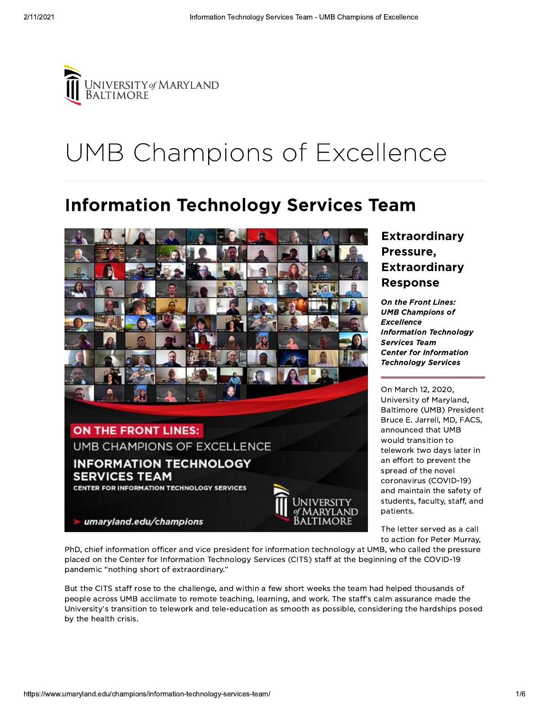

## UMB Champions of Excellence

## **Information Technology Services Team**



## **Extraordinary** Pressure, **Extraordinary Response**

On the Front Lines: **UMB Champions of Excellence Information Technology Services Team Center for Information Technology Services** 

On March 12, 2020. University of Maryland, Baltimore (UMB) President Bruce E. Jarrell, MD, FACS, announced that UMB would transition to telework two days later in an effort to prevent the spread of the novel coronavirus (COVID-19) and maintain the safety of students, faculty, staff, and patients.

The letter served as a call to action for Peter Murray.

PhD, chief information officer and vice president for information technology at UMB, who called the pressure placed on the Center for Information Technology Services (CITS) staff at the beginning of the COVID-19 pandemic "nothing short of extraordinary."

But the CITS staff rose to the challenge, and within a few short weeks the team had helped thousands of people across UMB acclimate to remote teaching, learning, and work. The staff's calm assurance made the University's transition to telework and tele-education as smooth as possible, considering the hardships posed by the health crisis.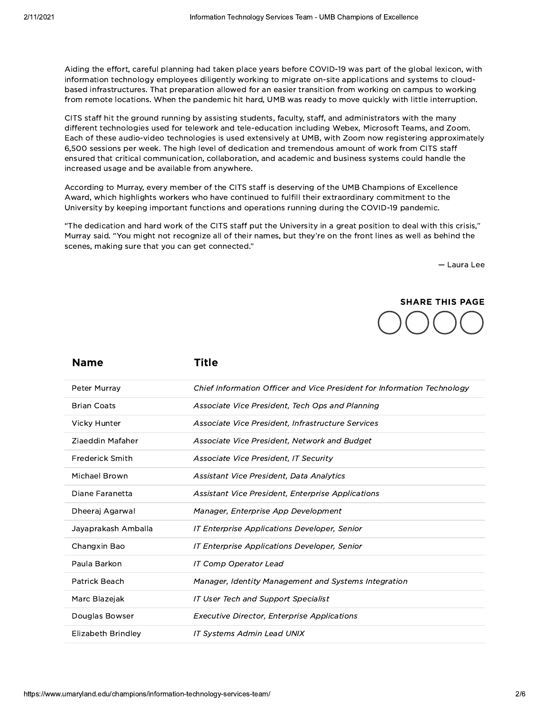Aiding the effort, careful planning had taken place years before COVID-19 was part of the global lexicon, with information technology employees diligently working to migrate on-site applications and systems to cloudbased infrastructures. That preparation allowed for an easier transition from working on campus to working from remote locations. When the pandemic hit hard, UMB was ready to move quickly with little interruption.

CITS staff hit the ground running by assisting students, faculty, staff, and administrators with the many different technologies used for telework and tele-education including Webex, Microsoft Teams, and Zoom. Each of these audio-video technologies is used extensively at UMB, with Zoom now registering approximately 6,500 sessions per week. The high level of dedication and tremendous amount of work from CITS staff ensured that critical communication, collaboration, and academic and business systems could handle the increased usage and be available from anywhere.

According to Murray, every member of the CITS staff is deserving of the UMB Champions of Excellence Award, which highlights workers who have continued to fulfill their extraordinary commitment to the University by keeping important functions and operations running during the COVID-19 pandemic.

"The dedication and hard work of the CITS staff put the University in a great position to deal with this crisis," Murray said. "You might not recognize all of their names, but they're on the front lines as well as behind the scenes, making sure that you can get connected."

- Laura Lee



| <b>Name</b>            | Title                                                                   |
|------------------------|-------------------------------------------------------------------------|
| Peter Murray           | Chief Information Officer and Vice President for Information Technology |
| <b>Brian Coats</b>     | Associate Vice President, Tech Ops and Planning                         |
| Vicky Hunter           | Associate Vice President, Infrastructure Services                       |
| Ziaeddin Mafaher       | Associate Vice President, Network and Budget                            |
| <b>Frederick Smith</b> | Associate Vice President, IT Security                                   |
| Michael Brown          | Assistant Vice President, Data Analytics                                |
| Diane Faranetta        | <b>Assistant Vice President, Enterprise Applications</b>                |
| Dheeraj Agarwal        | Manager, Enterprise App Development                                     |
| Jayaprakash Amballa    | IT Enterprise Applications Developer, Senior                            |
| Changxin Bao           | IT Enterprise Applications Developer, Senior                            |
| Paula Barkon           | <b>IT Comp Operator Lead</b>                                            |
| Patrick Beach          | Manager, Identity Management and Systems Integration                    |
| Marc Blazejak          | <b>IT User Tech and Support Specialist</b>                              |
| Douglas Bowser         | <b>Executive Director, Enterprise Applications</b>                      |
| Elizabeth Brindley     | <b>IT Systems Admin Lead UNIX</b>                                       |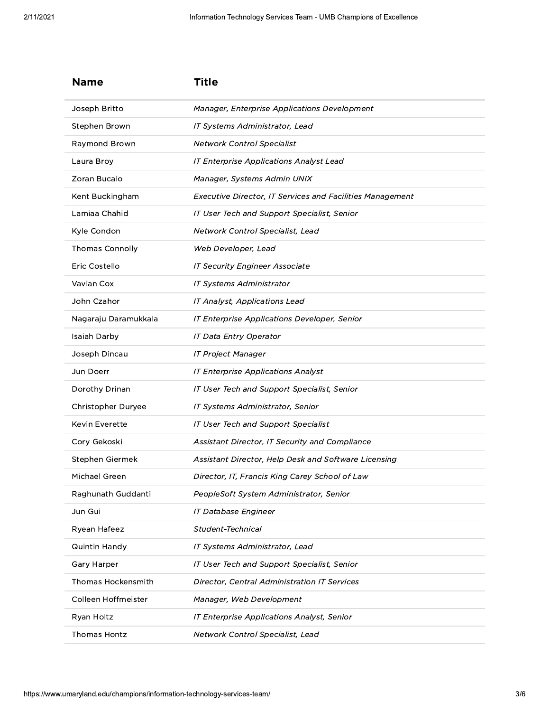| <b>Name</b>               | <b>Title</b>                                                     |
|---------------------------|------------------------------------------------------------------|
| Joseph Britto             | Manager, Enterprise Applications Development                     |
| Stephen Brown             | IT Systems Administrator, Lead                                   |
| Raymond Brown             | <b>Network Control Specialist</b>                                |
| Laura Broy                | IT Enterprise Applications Analyst Lead                          |
| Zoran Bucalo              | Manager, Systems Admin UNIX                                      |
| Kent Buckingham           | <b>Executive Director, IT Services and Facilities Management</b> |
| Lamiaa Chahid             | IT User Tech and Support Specialist, Senior                      |
| Kyle Condon               | Network Control Specialist, Lead                                 |
| <b>Thomas Connolly</b>    | Web Developer, Lead                                              |
| Eric Costello             | <b>IT Security Engineer Associate</b>                            |
| Vavian Cox                | <b>IT Systems Administrator</b>                                  |
| John Czahor               | IT Analyst, Applications Lead                                    |
| Nagaraju Daramukkala      | IT Enterprise Applications Developer, Senior                     |
| Isaiah Darby              | <b>IT Data Entry Operator</b>                                    |
| Joseph Dincau             | <b>IT Project Manager</b>                                        |
| Jun Doerr                 | <b>IT Enterprise Applications Analyst</b>                        |
| Dorothy Drinan            | IT User Tech and Support Specialist, Senior                      |
| Christopher Duryee        | IT Systems Administrator, Senior                                 |
| Kevin Everette            | IT User Tech and Support Specialist                              |
| Cory Gekoski              | Assistant Director, IT Security and Compliance                   |
| Stephen Giermek           | Assistant Director, Help Desk and Software Licensing             |
| Michael Green             | Director, IT, Francis King Carey School of Law                   |
| Raghunath Guddanti        | PeopleSoft System Administrator, Senior                          |
| Jun Gui                   | <b>IT Database Engineer</b>                                      |
| Ryean Hafeez              | Student-Technical                                                |
| Quintin Handy             | IT Systems Administrator, Lead                                   |
| Gary Harper               | IT User Tech and Support Specialist, Senior                      |
| <b>Thomas Hockensmith</b> | <b>Director, Central Administration IT Services</b>              |
| Colleen Hoffmeister       | Manager, Web Development                                         |
| Ryan Holtz                | IT Enterprise Applications Analyst, Senior                       |
| <b>Thomas Hontz</b>       | Network Control Specialist, Lead                                 |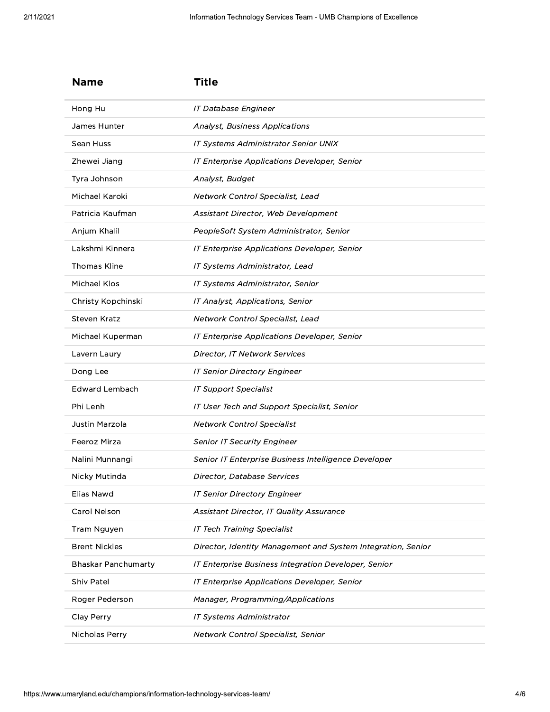| <b>Name</b>                | Title                                                        |
|----------------------------|--------------------------------------------------------------|
| Hong Hu                    | <b>IT Database Engineer</b>                                  |
| James Hunter               | <b>Analyst, Business Applications</b>                        |
| Sean Huss                  | IT Systems Administrator Senior UNIX                         |
| Zhewei Jiang               | IT Enterprise Applications Developer, Senior                 |
| Tyra Johnson               | Analyst, Budget                                              |
| Michael Karoki             | Network Control Specialist, Lead                             |
| Patricia Kaufman           | Assistant Director, Web Development                          |
| Anjum Khalil               | PeopleSoft System Administrator, Senior                      |
| Lakshmi Kinnera            | IT Enterprise Applications Developer, Senior                 |
| Thomas Kline               | IT Systems Administrator, Lead                               |
| Michael Klos               | IT Systems Administrator, Senior                             |
| Christy Kopchinski         | IT Analyst, Applications, Senior                             |
| <b>Steven Kratz</b>        | Network Control Specialist, Lead                             |
| Michael Kuperman           | IT Enterprise Applications Developer, Senior                 |
| Lavern Laury               | Director, IT Network Services                                |
| Dong Lee                   | <b>IT Senior Directory Engineer</b>                          |
| Edward Lembach             | <b>IT Support Specialist</b>                                 |
| Phi Lenh                   | IT User Tech and Support Specialist, Senior                  |
| Justin Marzola             | <b>Network Control Specialist</b>                            |
| Feeroz Mirza               | <b>Senior IT Security Engineer</b>                           |
| Nalini Munnangi            | Senior IT Enterprise Business Intelligence Developer         |
| Nicky Mutinda              | Director, Database Services                                  |
| Elias Nawd                 | <b>IT Senior Directory Engineer</b>                          |
| Carol Nelson               | Assistant Director, IT Quality Assurance                     |
| Tram Nguyen                | <b>IT Tech Training Specialist</b>                           |
| <b>Brent Nickles</b>       | Director, Identity Management and System Integration, Senior |
| <b>Bhaskar Panchumarty</b> | IT Enterprise Business Integration Developer, Senior         |
| <b>Shiv Patel</b>          | IT Enterprise Applications Developer, Senior                 |
| Roger Pederson             | Manager, Programming/Applications                            |
| Clay Perry                 | IT Systems Administrator                                     |
| Nicholas Perry             | Network Control Specialist, Senior                           |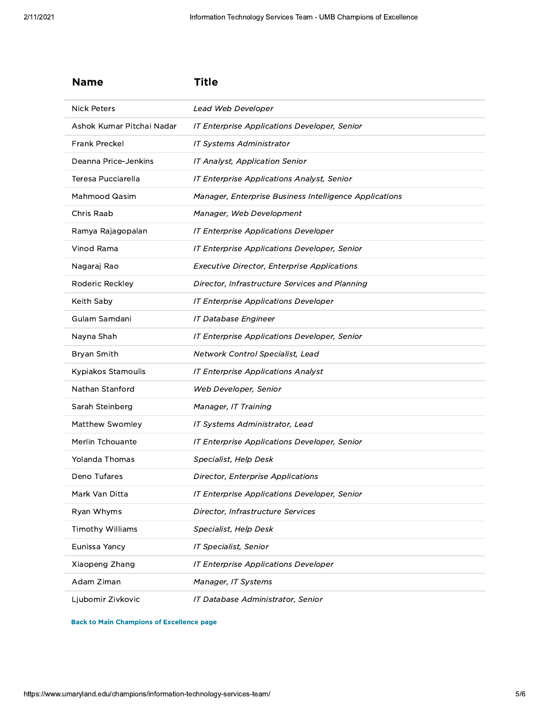| <b>Name</b>               | Title                                                  |
|---------------------------|--------------------------------------------------------|
| <b>Nick Peters</b>        | Lead Web Developer                                     |
| Ashok Kumar Pitchai Nadar | IT Enterprise Applications Developer, Senior           |
| <b>Frank Preckel</b>      | <b>IT Systems Administrator</b>                        |
| Deanna Price-Jenkins      | IT Analyst, Application Senior                         |
| Teresa Pucciarella        | IT Enterprise Applications Analyst, Senior             |
| Mahmood Qasim             | Manager, Enterprise Business Intelligence Applications |
| Chris Raab                | Manager, Web Development                               |
| Ramya Rajagopalan         | IT Enterprise Applications Developer                   |
| Vinod Rama                | IT Enterprise Applications Developer, Senior           |
| Nagaraj Rao               | <b>Executive Director, Enterprise Applications</b>     |
| Roderic Reckley           | Director, Infrastructure Services and Planning         |
| Keith Saby                | IT Enterprise Applications Developer                   |
| Gulam Samdani             | <b>IT Database Engineer</b>                            |
| Nayna Shah                | IT Enterprise Applications Developer, Senior           |
| Bryan Smith               | Network Control Specialist, Lead                       |
| Kypiakos Stamoulis        | <b>IT Enterprise Applications Analyst</b>              |
| Nathan Stanford           | Web Developer, Senior                                  |
| Sarah Steinberg           | Manager, IT Training                                   |
| Matthew Swomley           | IT Systems Administrator, Lead                         |
| Merlin Tchouante          | IT Enterprise Applications Developer, Senior           |
| Yolanda Thomas            | Specialist, Help Desk                                  |
| Deno Tufares              | Director, Enterprise Applications                      |
| Mark Van Ditta            | IT Enterprise Applications Developer, Senior           |
| Ryan Whyms                | Director, Infrastructure Services                      |
| <b>Timothy Williams</b>   | Specialist, Help Desk                                  |
| Eunissa Yancy             | IT Specialist, Senior                                  |
| Xiaopeng Zhang            | IT Enterprise Applications Developer                   |
| Adam Ziman                | Manager, IT Systems                                    |
| Ljubomir Zivkovic         | IT Database Administrator, Senior                      |

**Back to Main Champions of Excellence page**